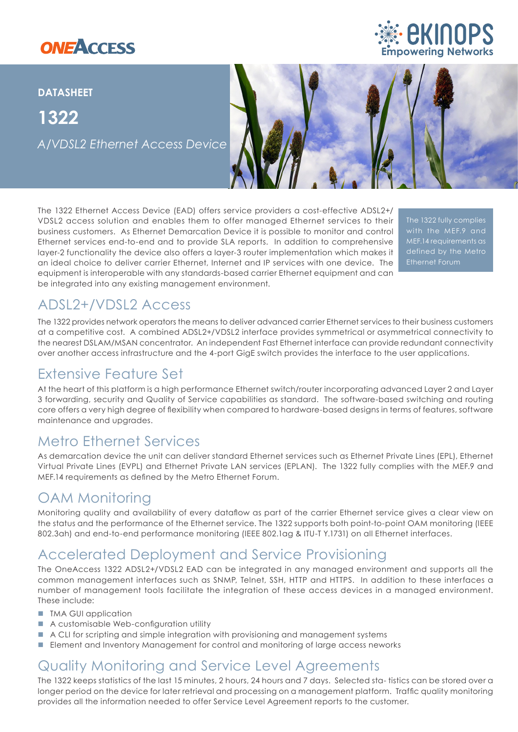



#### **DATASHEET**

**1322** *A/VDSL2 Ethernet Access Device*



The 1322 Ethernet Access Device (EAD) offers service providers a cost-effective ADSL2+/ VDSL2 access solution and enables them to offer managed Ethernet services to their business customers. As Ethernet Demarcation Device it is possible to monitor and control Ethernet services end-to-end and to provide SLA reports. In addition to comprehensive layer-2 functionality the device also offers a layer-3 router implementation which makes it an ideal choice to deliver carrier Ethernet, Internet and IP services with one device. The equipment is interoperable with any standards-based carrier Ethernet equipment and can be integrated into any existing management environment.

MEF.14 requirements as defined by the Metro

### ADSL2+/VDSL2 Access

The 1322 provides network operators the means to deliver advanced carrier Ethernet services to their business customers at a competitive cost. A combined ADSL2+/VDSL2 interface provides symmetrical or asymmetrical connectivity to the nearest DSLAM/MSAN concentrator. An independent Fast Ethernet interface can provide redundant connectivity over another access infrastructure and the 4-port GigE switch provides the interface to the user applications.

### Extensive Feature Set

At the heart of this platform is a high performance Ethernet switch/router incorporating advanced Layer 2 and Layer 3 forwarding, security and Quality of Service capabilities as standard. The software-based switching and routing core offers a very high degree of flexibility when compared to hardware-based designs in terms of features, software maintenance and upgrades.

# Metro Ethernet Services

As demarcation device the unit can deliver standard Ethernet services such as Ethernet Private Lines (EPL), Ethernet Virtual Private Lines (EVPL) and Ethernet Private LAN services (EPLAN). The 1322 fully complies with the MEF.9 and MEF.14 requirements as defined by the Metro Ethernet Forum.

# OAM Monitoring

Monitoring quality and availability of every dataflow as part of the carrier Ethernet service gives a clear view on the status and the performance of the Ethernet service. The 1322 supports both point-to-point OAM monitoring (IEEE 802.3ah) and end-to-end performance monitoring (IEEE 802.1ag & ITU-T Y.1731) on all Ethernet interfaces.

# Accelerated Deployment and Service Provisioning

The OneAccess 1322 ADSL2+/VDSL2 EAD can be integrated in any managed environment and supports all the common management interfaces such as SNMP, Telnet, SSH, HTTP and HTTPS. In addition to these interfaces a number of management tools facilitate the integration of these access devices in a managed environment. These include:

- TMA GUI application
- $\blacksquare$  A customisable Web-configuration utility
- A CLI for scripting and simple integration with provisioning and management systems
- **Element and Inventory Management for control and monitoring of large access neworks**

# Quality Monitoring and Service Level Agreements

The 1322 keeps statistics of the last 15 minutes, 2 hours, 24 hours and 7 days. Selected sta- tistics can be stored over a longer period on the device for later retrieval and processing on a management platform. Traffic quality monitoring provides all the information needed to offer Service Level Agreement reports to the customer.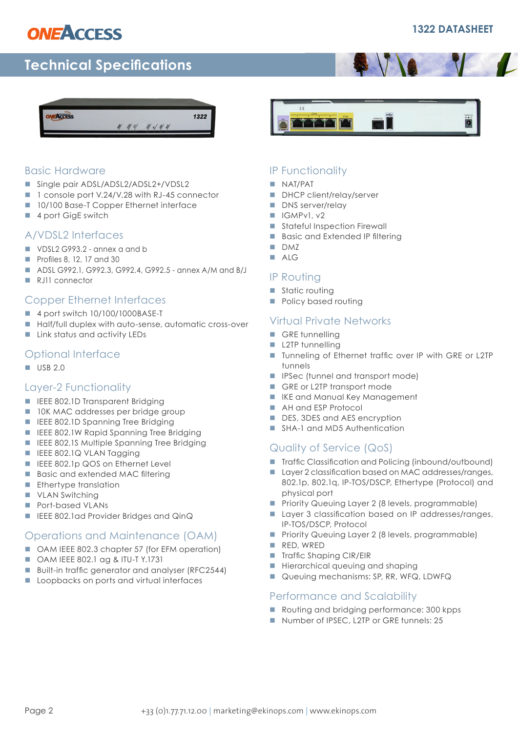# **ONEACCESS**

### **1322 DATASHEET**

# **Technical Specifications**





#### Basic Hardware

- Single pair ADSL/ADSL2/ADSL2+/VDSL2
- 1 console port V.24/V.28 with RJ-45 connector
- 10/100 Base-T Copper Ethernet interface
- $\blacksquare$  4 port GigE switch

#### A/VDSL2 Interfaces

- vDSL2 G993.2 annex a and b
- **n** Profiles 8, 12, 17 and 30
- ADSL G992.1, G992.3, G992.4, G992.5 annex A/M and B/J
- RJ11 connector

### Copper Ethernet Interfaces

- $\blacksquare$  4 port switch 10/100/1000BASE-T
- Half/full duplex with auto-sense, automatic cross-over
- Link status and activity LEDs

### Optional Interface

 $\blacksquare$  USB 2.0

#### Layer-2 Functionality

- **n** IEEE 802.1D Transparent Bridging
- 10K MAC addresses per bridge group
- **EXECUTE: IEEE 802.1D Spanning Tree Bridging**
- **EXECUTE: IEEE 802.1W Rapid Spanning Tree Bridging**
- IEEE 802.1S Multiple Spanning Tree Bridging
- IEEE 802.1Q VLAN Tagging
- IEEE 802.1p QOS on Ethernet Level
- Basic and extended MAC filtering
- $\blacksquare$  Ethertype translation
- **N** VLAN Switching
- n Port-based VLANs
- IEEE 802.1ad Provider Bridges and QinQ

#### Operations and Maintenance (OAM)

- OAM IEEE 802.3 chapter 57 (for EFM operation)
- n OAM IEEE 802.1 ag & ITU-T Y.1731
- Built-in traffic generator and analyser (RFC2544)
- **n** Loopbacks on ports and virtual interfaces

# $c \in$ **TIFT**

### IP Functionality

- **NAT/PAT**
- DHCP client/relay/server
- DNS server/relay
- $\Box$  IGMPv1, v2
- Stateful Inspection Firewall
- Basic and Extended IP filtering
- $\n **D**<sub>M7</sub>\n$
- $A \mid G$

#### IP Routing

- $\blacksquare$  Static routing
- **n** Policy based routing

#### Virtual Private Networks

- $\blacksquare$  GRE tunnelling
- **L2TP** tunnelling
- Tunneling of Ethernet traffic over IP with GRE or L2TP tunnels
- **n** IPSec (tunnel and transport mode)
- GRE or L2TP transport mode
- **No. IKE and Manual Key Management**
- AH and ESP Protocol
- DES, 3DES and AES encryption
- SHA-1 and MD5 Authentication

### Quality of Service (QoS)

- Traffic Classification and Policing (inbound/outbound)
- Layer 2 classification based on MAC addresses/ranges, 802.1p, 802.1q, IP-TOS/DSCP, Ethertype (Protocol) and physical port
- **n** Priority Queuing Layer 2 (8 levels, programmable)
- Layer 3 classification based on IP addresses/ranges, IP-TOS/DSCP, Protocol
- Priority Queuing Layer 2 (8 levels, programmable)
- **RED, WRED**
- Traffic Shaping CIR/EIR
- $\blacksquare$  Hierarchical queuing and shaping
- Queuing mechanisms: SP, RR, WFQ, LDWFQ

#### Performance and Scalability

- Routing and bridging performance: 300 kpps
- Number of IPSEC, L2TP or GRE tunnels: 25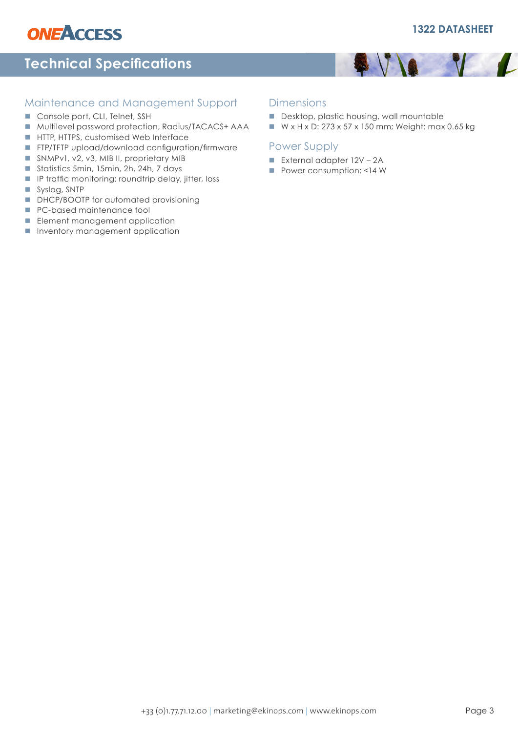# **ONEACCESS**

#### **1322 DATASHEET**

### **Technical Specifications**



### Maintenance and Management Support

- Console port, CLI, Telnet, SSH
- Multilevel password protection, Radius/TACACS+ AAA
- **HTTP, HTTPS, customised Web Interface**
- **FTP/TFTP upload/download configuration/firmware**
- SNMPv1, v2, v3, MIB II, proprietary MIB
- Statistics 5min, 15min, 2h, 24h, 7 days
- **n** IP traffic monitoring: roundtrip delay, jitter, loss
- Syslog, SNTP
- DHCP/BOOTP for automated provisioning
- PC-based maintenance tool
- **Element management application**
- **n** Inventory management application

#### Dimensions

- Desktop, plastic housing, wall mountable
- $W \times H \times D$ : 273 x 57 x 150 mm; Weight: max 0.65 kg

#### Power Supply

- External adapter  $12V 2A$
- Power consumption: <14 W